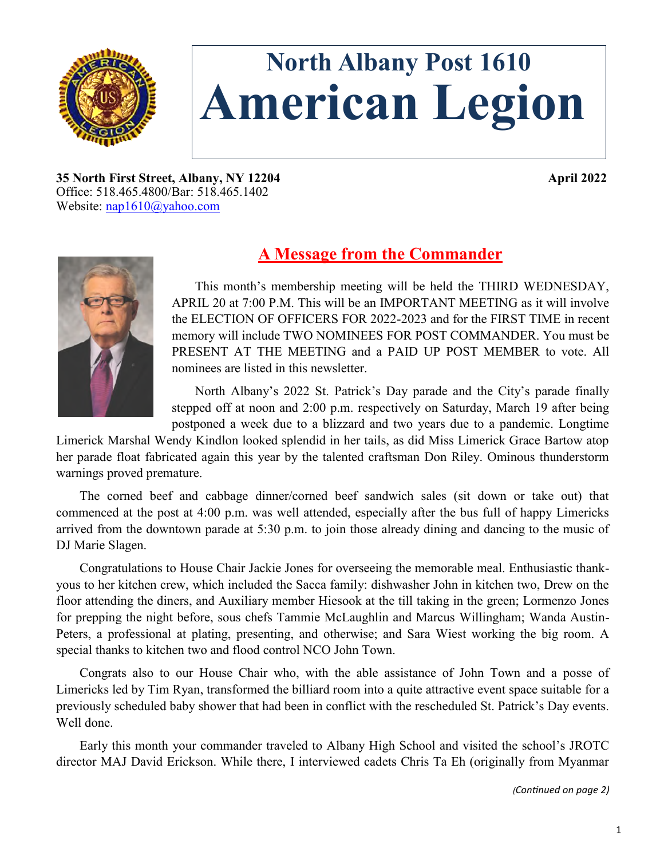

# **North Albany Post 1610 American Legion**

**35 North First Street, Albany, NY 12204 April 2022** Office: 518.465.4800/Bar: 518.465.1402 Website: [nap1610@yahoo.com](mailto:nap1610@yahoo.com)



## **A Message from the Commander**

This month's membership meeting will be held the THIRD WEDNESDAY, APRIL 20 at 7:00 P.M. This will be an IMPORTANT MEETING as it will involve the ELECTION OF OFFICERS FOR 2022-2023 and for the FIRST TIME in recent memory will include TWO NOMINEES FOR POST COMMANDER. You must be PRESENT AT THE MEETING and a PAID UP POST MEMBER to vote. All nominees are listed in this newsletter.

North Albany's 2022 St. Patrick's Day parade and the City's parade finally stepped off at noon and 2:00 p.m. respectively on Saturday, March 19 after being postponed a week due to a blizzard and two years due to a pandemic. Longtime

Limerick Marshal Wendy Kindlon looked splendid in her tails, as did Miss Limerick Grace Bartow atop her parade float fabricated again this year by the talented craftsman Don Riley. Ominous thunderstorm warnings proved premature.

The corned beef and cabbage dinner/corned beef sandwich sales (sit down or take out) that commenced at the post at 4:00 p.m. was well attended, especially after the bus full of happy Limericks arrived from the downtown parade at 5:30 p.m. to join those already dining and dancing to the music of DJ Marie Slagen.

Congratulations to House Chair Jackie Jones for overseeing the memorable meal. Enthusiastic thankyous to her kitchen crew, which included the Sacca family: dishwasher John in kitchen two, Drew on the floor attending the diners, and Auxiliary member Hiesook at the till taking in the green; Lormenzo Jones for prepping the night before, sous chefs Tammie McLaughlin and Marcus Willingham; Wanda Austin-Peters, a professional at plating, presenting, and otherwise; and Sara Wiest working the big room. A special thanks to kitchen two and flood control NCO John Town.

Congrats also to our House Chair who, with the able assistance of John Town and a posse of Limericks led by Tim Ryan, transformed the billiard room into a quite attractive event space suitable for a previously scheduled baby shower that had been in conflict with the rescheduled St. Patrick's Day events. Well done.

Early this month your commander traveled to Albany High School and visited the school's JROTC director MAJ David Erickson. While there, I interviewed cadets Chris Ta Eh (originally from Myanmar

*(Continued on page 2)*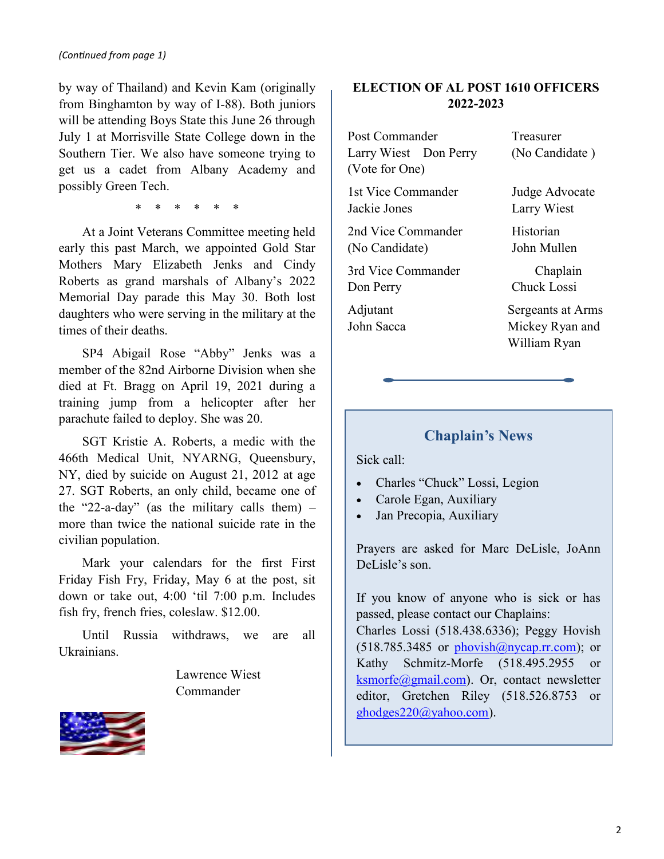by way of Thailand) and Kevin Kam (originally from Binghamton by way of I-88). Both juniors will be attending Boys State this June 26 through July 1 at Morrisville State College down in the Southern Tier. We also have someone trying to get us a cadet from Albany Academy and possibly Green Tech.

\* \* \* \* \* \*

At a Joint Veterans Committee meeting held early this past March, we appointed Gold Star Mothers Mary Elizabeth Jenks and Cindy Roberts as grand marshals of Albany's 2022 Memorial Day parade this May 30. Both lost daughters who were serving in the military at the times of their deaths.

SP4 Abigail Rose "Abby" Jenks was a member of the 82nd Airborne Division when she died at Ft. Bragg on April 19, 2021 during a training jump from a helicopter after her parachute failed to deploy. She was 20.

SGT Kristie A. Roberts, a medic with the 466th Medical Unit, NYARNG, Queensbury, NY, died by suicide on August 21, 2012 at age 27. SGT Roberts, an only child, became one of the "22-a-day" (as the military calls them)  $$ more than twice the national suicide rate in the civilian population.

Mark your calendars for the first First Friday Fish Fry, Friday, May 6 at the post, sit down or take out, 4:00 'til 7:00 p.m. Includes fish fry, french fries, coleslaw. \$12.00.

Until Russia withdraws, we are all Ukrainians.

> Lawrence Wiest Commander



## **ELECTION OF AL POST 1610 OFFICERS 2022-2023**

Post Commander Treasurer Larry Wiest Don Perry (No Candidate) (Vote for One)

1st Vice Commander Judge Advocate Jackie Jones Larry Wiest

2nd Vice Commander Historian (No Candidate) John Mullen

3rd Vice Commander Chaplain Don Perry Chuck Lossi

Adjutant Sergeants at Arms John Sacca Mickey Ryan and William Ryan

## **Chaplain's News**

Sick call:

- Charles "Chuck" Lossi, Legion
- Carole Egan, Auxiliary
- Jan Precopia, Auxiliary

Prayers are asked for Marc DeLisle, JoAnn DeLisle's son.

If you know of anyone who is sick or has passed, please contact our Chaplains:

Charles Lossi (518.438.6336); Peggy Hovish  $(518.785.3485$  or phovish $@n$ ycap.rr.com); or Kathy Schmitz-Morfe (518.495.2955 or [ksmorfe@gmail.com\)](mailto:ksmorfe@gmail.com). Or, contact newsletter editor, Gretchen Riley (518.526.8753 or [ghodges220@yahoo.com\).](mailto:ghodges220@yahoo.com)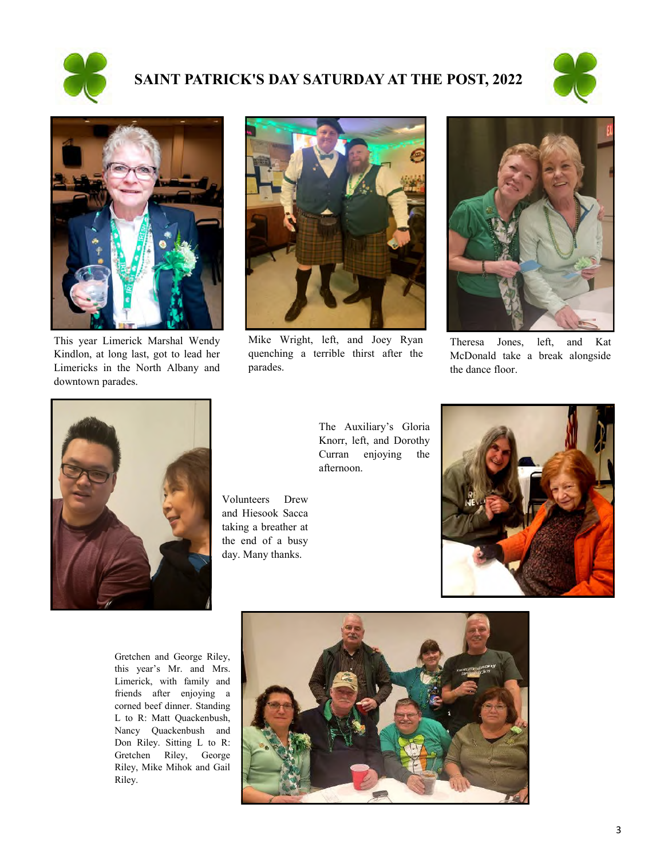

## **SAINT PATRICK'S DAY SATURDAY AT THE POST, 2022**





This year Limerick Marshal Wendy Kindlon, at long last, got to lead her Limericks in the North Albany and downtown parades.



Mike Wright, left, and Joey Ryan quenching a terrible thirst after the parades.



Theresa Jones, left, and Kat McDonald take a break alongside the dance floor.



The Auxiliary's Gloria Knorr, left, and Dorothy Curran enjoying the afternoon.

Volunteers Drew and Hiesook Sacca taking a breather at the end of a busy day. Many thanks.



Gretchen and George Riley, this year's Mr. and Mrs. Limerick, with family and friends after enjoying a corned beef dinner. Standing L to R: Matt Quackenbush, Nancy Quackenbush and Don Riley. Sitting L to R: Gretchen Riley, George Riley, Mike Mihok and Gail Riley.